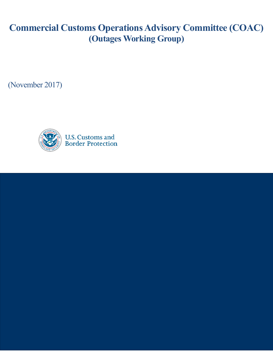# **Commercial Customs Operations Advisory Committee (COAC) (Outages Working Group)**

(November 2017)